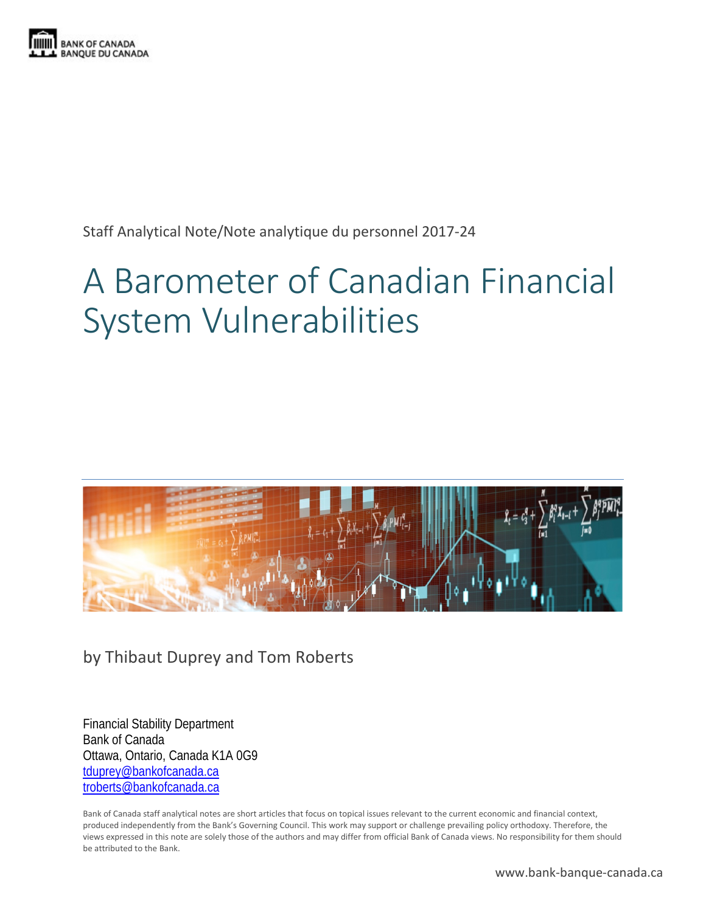

Staff Analytical Note/Note analytique du personnel 2017-24

# A Barometer of Canadian Financial System Vulnerabilities



by Thibaut Duprey and Tom Roberts

Financial Stability Department Bank of Canada Ottawa, Ontario, Canada K1A 0G9 [tduprey@bankofcanada.ca](mailto:tduprey@bankofcanada.ca) [troberts@bankofcanada.ca](mailto:troberts@bankofcanada.ca)

Bank of Canada staff analytical notes are short articles that focus on topical issues relevant to the current economic and financial context, produced independently from the Bank's Governing Council. This work may support or challenge prevailing policy orthodoxy. Therefore, the views expressed in this note are solely those of the authors and may differ from official Bank of Canada views. No responsibility for them should be attributed to the Bank.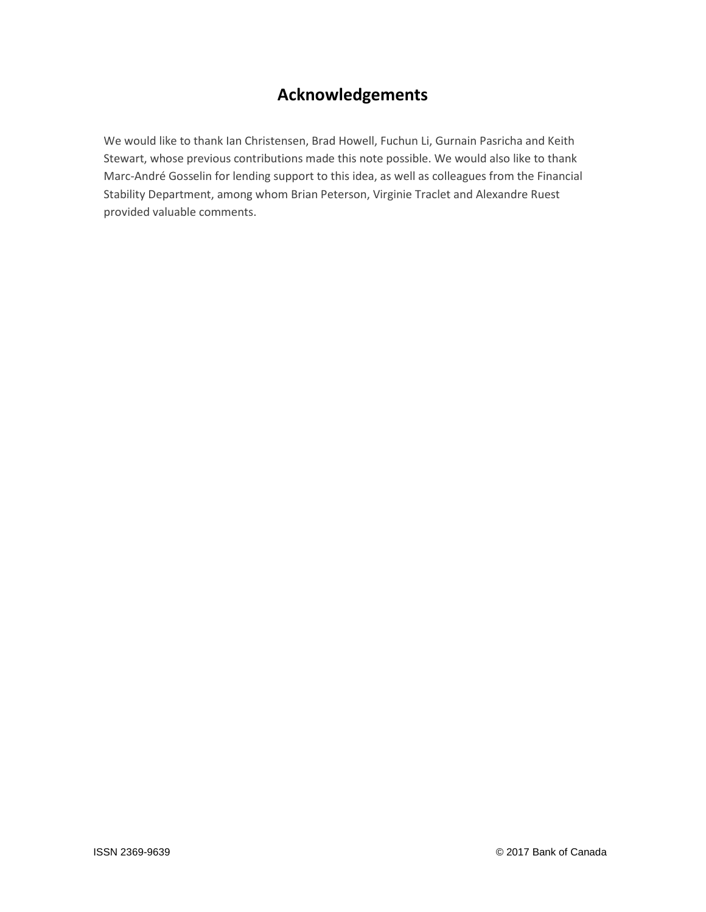# **Acknowledgements**

We would like to thank Ian Christensen, Brad Howell, Fuchun Li, Gurnain Pasricha and Keith Stewart, whose previous contributions made this note possible. We would also like to thank Marc-André Gosselin for lending support to this idea, as well as colleagues from the Financial Stability Department, among whom Brian Peterson, Virginie Traclet and Alexandre Ruest provided valuable comments.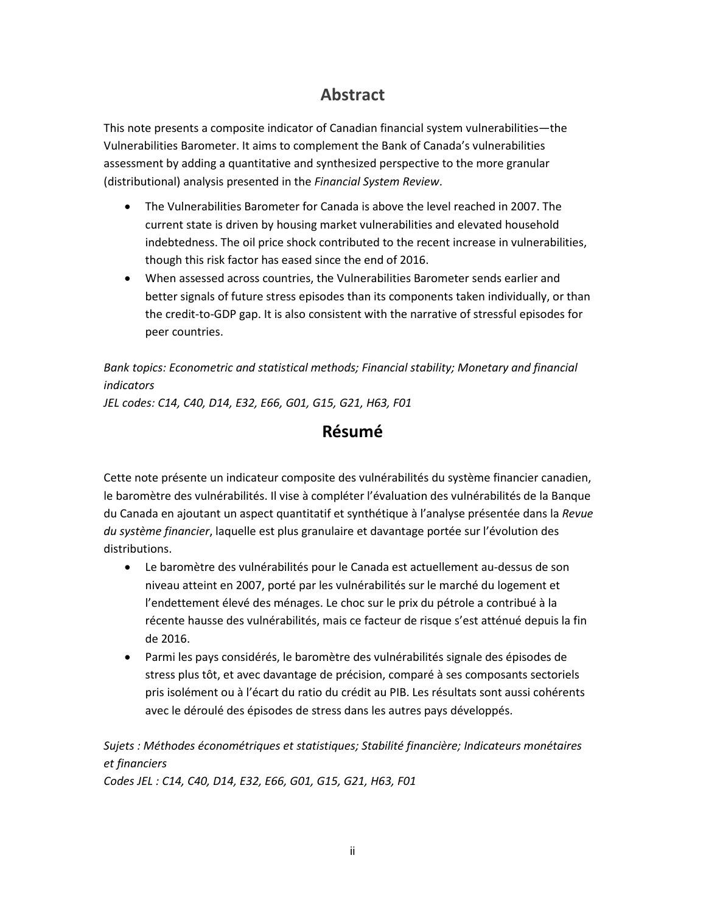## **Abstract**

This note presents a composite indicator of Canadian financial system vulnerabilities—the Vulnerabilities Barometer. It aims to complement the Bank of Canada's vulnerabilities assessment by adding a quantitative and synthesized perspective to the more granular (distributional) analysis presented in the *Financial System Review*.

- The Vulnerabilities Barometer for Canada is above the level reached in 2007. The current state is driven by housing market vulnerabilities and elevated household indebtedness. The oil price shock contributed to the recent increase in vulnerabilities, though this risk factor has eased since the end of 2016.
- When assessed across countries, the Vulnerabilities Barometer sends earlier and better signals of future stress episodes than its components taken individually, or than the credit-to-GDP gap. It is also consistent with the narrative of stressful episodes for peer countries.

*Bank topics: Econometric and statistical methods; Financial stability; Monetary and financial indicators*

*JEL codes: C14, C40, D14, E32, E66, G01, G15, G21, H63, F01*

### **Résumé**

Cette note présente un indicateur composite des vulnérabilités du système financier canadien, le baromètre des vulnérabilités. Il vise à compléter l'évaluation des vulnérabilités de la Banque du Canada en ajoutant un aspect quantitatif et synthétique à l'analyse présentée dans la *Revue du système financier*, laquelle est plus granulaire et davantage portée sur l'évolution des distributions.

- Le baromètre des vulnérabilités pour le Canada est actuellement au-dessus de son niveau atteint en 2007, porté par les vulnérabilités sur le marché du logement et l'endettement élevé des ménages. Le choc sur le prix du pétrole a contribué à la récente hausse des vulnérabilités, mais ce facteur de risque s'est atténué depuis la fin de 2016.
- Parmi les pays considérés, le baromètre des vulnérabilités signale des épisodes de stress plus tôt, et avec davantage de précision, comparé à ses composants sectoriels pris isolément ou à l'écart du ratio du crédit au PIB. Les résultats sont aussi cohérents avec le déroulé des épisodes de stress dans les autres pays développés.

### *Sujets : Méthodes économétriques et statistiques; Stabilité financière; Indicateurs monétaires et financiers*

*Codes JEL : C14, C40, D14, E32, E66, G01, G15, G21, H63, F01*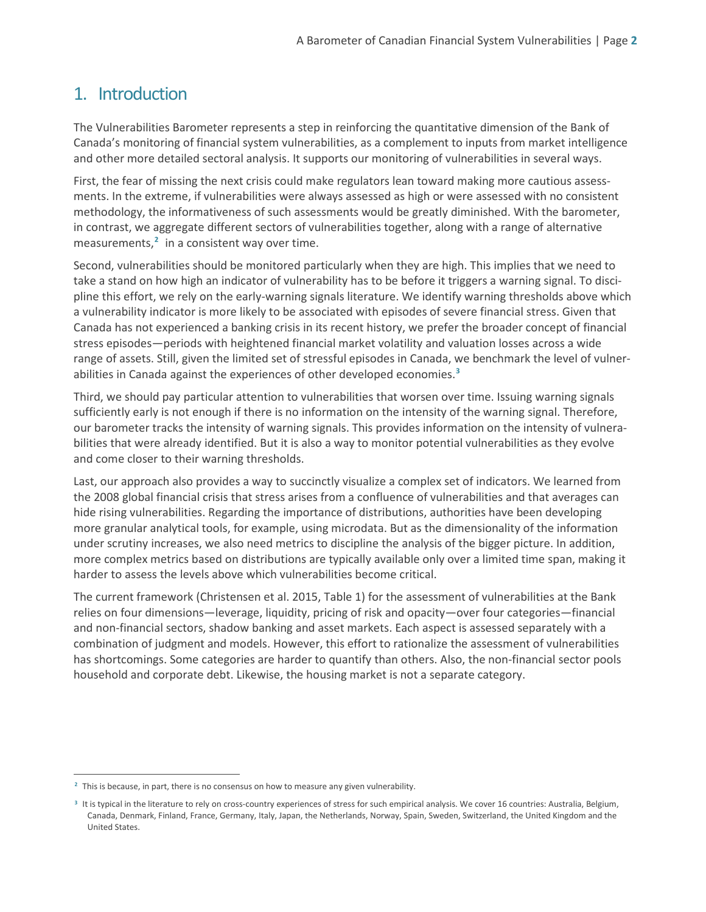# 1. Introduction

The Vulnerabilities Barometer represents a step in reinforcing the quantitative dimension of the Bank of Canada's monitoring of financial system vulnerabilities, as a complement to inputs from market intelligence and other more detailed sectoral analysis. It supports our monitoring of vulnerabilities in several ways.

First, the fear of missing the next crisis could make regulators lean toward making more cautious assessments. In the extreme, if vulnerabilities were always assessed as high or were assessed with no consistent methodology, the informativeness of such assessments would be greatly diminished. With the barometer, in contrast, we aggregate different sectors of vulnerabilities together, along with a range of alternative measurements,**[2](#page-3-0)** in a consistent way over time.

Second, vulnerabilities should be monitored particularly when they are high. This implies that we need to take a stand on how high an indicator of vulnerability has to be before it triggers a warning signal. To discipline this effort, we rely on the early-warning signals literature. We identify warning thresholds above which a vulnerability indicator is more likely to be associated with episodes of severe financial stress. Given that Canada has not experienced a banking crisis in its recent history, we prefer the broader concept of financial stress episodes—periods with heightened financial market volatility and valuation losses across a wide range of assets. Still, given the limited set of stressful episodes in Canada, we benchmark the level of vulnerabilities in Canada against the experiences of other developed economies.**[3](#page-3-1)**

Third, we should pay particular attention to vulnerabilities that worsen over time. Issuing warning signals sufficiently early is not enough if there is no information on the intensity of the warning signal. Therefore, our barometer tracks the intensity of warning signals. This provides information on the intensity of vulnerabilities that were already identified. But it is also a way to monitor potential vulnerabilities as they evolve and come closer to their warning thresholds.

Last, our approach also provides a way to succinctly visualize a complex set of indicators. We learned from the 2008 global financial crisis that stress arises from a confluence of vulnerabilities and that averages can hide rising vulnerabilities. Regarding the importance of distributions, authorities have been developing more granular analytical tools, for example, using microdata. But as the dimensionality of the information under scrutiny increases, we also need metrics to discipline the analysis of the bigger picture. In addition, more complex metrics based on distributions are typically available only over a limited time span, making it harder to assess the levels above which vulnerabilities become critical.

The current framework (Christensen et al. 2015, Table 1) for the assessment of vulnerabilities at the Bank relies on four dimensions—leverage, liquidity, pricing of risk and opacity—over four categories—financial and non-financial sectors, shadow banking and asset markets. Each aspect is assessed separately with a combination of judgment and models. However, this effort to rationalize the assessment of vulnerabilities has shortcomings. Some categories are harder to quantify than others. Also, the non-financial sector pools household and corporate debt. Likewise, the housing market is not a separate category.

<span id="page-3-1"></span><span id="page-3-0"></span>**<sup>2</sup>** This is because, in part, there is no consensus on how to measure any given vulnerability.

<span id="page-3-2"></span>**<sup>3</sup>** It is typical in the literature to rely on cross-country experiences of stress for such empirical analysis. We cover 16 countries: Australia, Belgium, Canada, Denmark, Finland, France, Germany, Italy, Japan, the Netherlands, Norway, Spain, Sweden, Switzerland, the United Kingdom and the United States.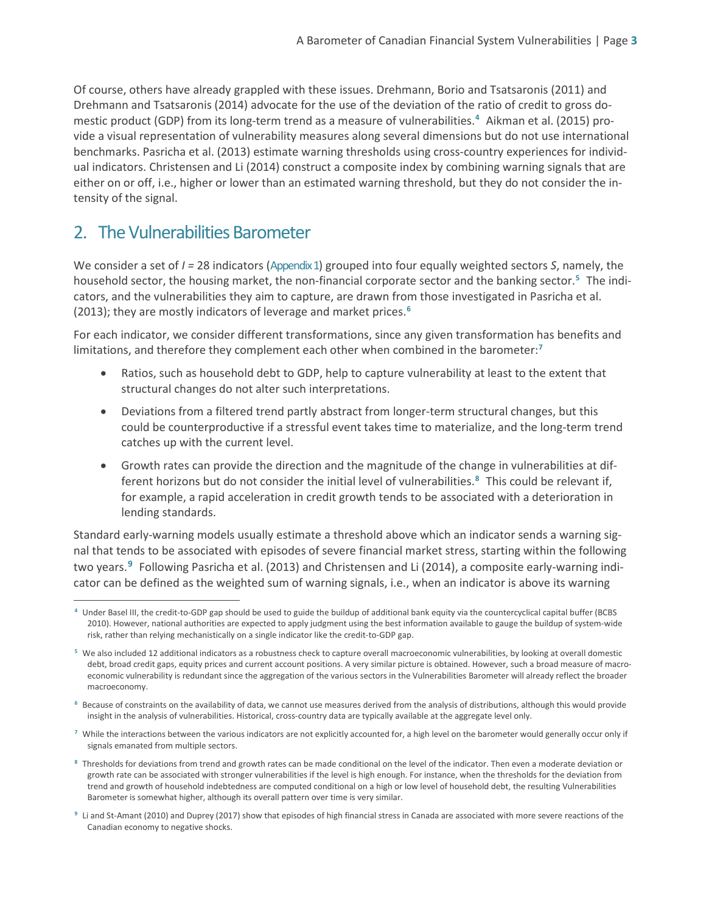Of course, others have already grappled with these issues. Drehmann, Borio and Tsatsaronis (2011) and Drehmann and Tsatsaronis (2014) advocate for the use of the deviation of the ratio of credit to gross domestic product (GDP) from its long-term trend as a measure of vulnerabilities.**[4](#page-3-2)** Aikman et al. (2015) provide a visual representation of vulnerability measures along several dimensions but do not use international benchmarks. Pasricha et al. (2013) estimate warning thresholds using cross-country experiences for individual indicators. Christensen and Li (2014) construct a composite index by combining warning signals that are either on or off, i.e., higher or lower than an estimated warning threshold, but they do not consider the intensity of the signal.

# 2. The Vulnerabilities Barometer

We consider a set of  $I = 28$  indicators (Appendix 1) grouped into four equally weighted sectors *S*, namely, the household sector, the housing market, the non-financial corporate sector and the banking sector.**[5](#page-4-0)** The indicators, and the vulnerabilities they aim to capture, are drawn from those investigated in Pasricha et al. (2013); they are mostly indicators of leverage and market prices. **[6](#page-4-1)**

For each indicator, we consider different transformations, since any given transformation has benefits and limitations, and therefore they complement each other when combined in the barometer: **[7](#page-4-2)**

- Ratios, such as household debt to GDP, help to capture vulnerability at least to the extent that structural changes do not alter such interpretations.
- Deviations from a filtered trend partly abstract from longer-term structural changes, but this could be counterproductive if a stressful event takes time to materialize, and the long-term trend catches up with the current level.
- Growth rates can provide the direction and the magnitude of the change in vulnerabilities at different horizons but do not consider the initial level of vulnerabilities.**[8](#page-4-3)** This could be relevant if, for example, a rapid acceleration in credit growth tends to be associated with a deterioration in lending standards.

Standard early-warning models usually estimate a threshold above which an indicator sends a warning signal that tends to be associated with episodes of severe financial market stress, starting within the following two years. **[9](#page-4-4)** Following Pasricha et al. (2013) and Christensen and Li (2014), a composite early-warning indicator can be defined as the weighted sum of warning signals, i.e., when an indicator is above its warning

- <span id="page-4-2"></span><sup>7</sup> While the interactions between the various indicators are not explicitly accounted for, a high level on the barometer would generally occur only if signals emanated from multiple sectors.
- <span id="page-4-3"></span>**<sup>8</sup>** Thresholds for deviations from trend and growth rates can be made conditional on the level of the indicator. Then even a moderate deviation or growth rate can be associated with stronger vulnerabilities if the level is high enough. For instance, when the thresholds for the deviation from trend and growth of household indebtedness are computed conditional on a high or low level of household debt, the resulting Vulnerabilities Barometer is somewhat higher, although its overall pattern over time is very similar.
- <span id="page-4-4"></span>**<sup>9</sup>** Li and St-Amant (2010) and Duprey (2017) show that episodes of high financial stress in Canada are associated with more severe reactions of the Canadian economy to negative shocks.

 $\overline{a}$ **<sup>4</sup>** Under Basel III, the credit-to-GDP gap should be used to guide the buildup of additional bank equity via the countercyclical capital buffer (BCBS 2010). However, national authorities are expected to apply judgment using the best information available to gauge the buildup of system-wide risk, rather than relying mechanistically on a single indicator like the credit-to-GDP gap.

<span id="page-4-0"></span>**<sup>5</sup>** We also included 12 additional indicators as a robustness check to capture overall macroeconomic vulnerabilities, by looking at overall domestic debt, broad credit gaps, equity prices and current account positions. A very similar picture is obtained. However, such a broad measure of macroeconomic vulnerability is redundant since the aggregation of the various sectors in the Vulnerabilities Barometer will already reflect the broader macroeconomy.

<span id="page-4-1"></span>**<sup>6</sup>** Because of constraints on the availability of data, we cannot use measures derived from the analysis of distributions, although this would provide insight in the analysis of vulnerabilities. Historical, cross-country data are typically available at the aggregate level only.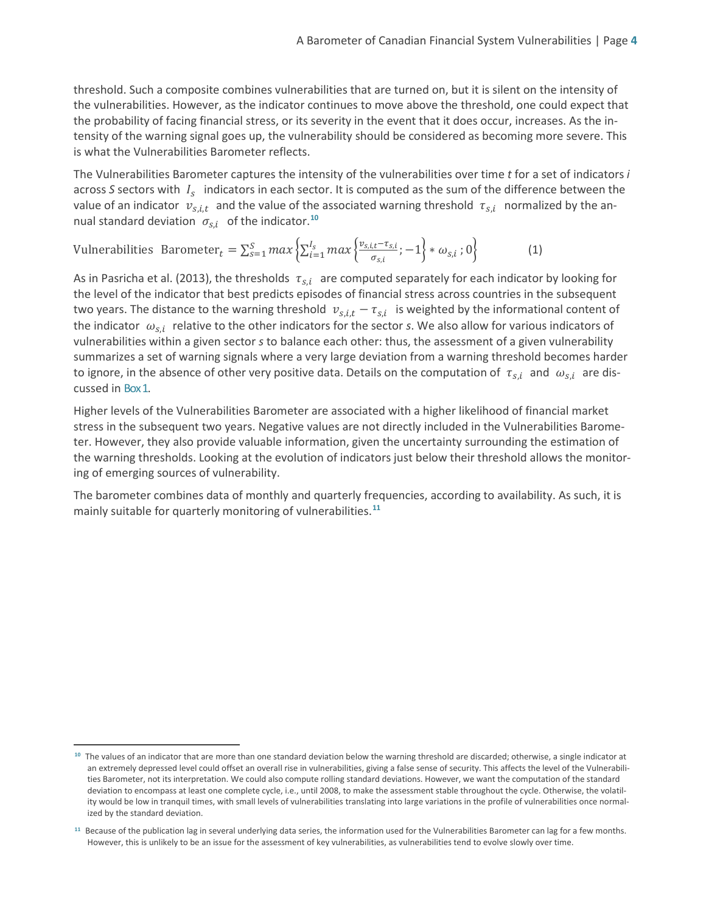threshold. Such a composite combines vulnerabilities that are turned on, but it is silent on the intensity of the vulnerabilities. However, as the indicator continues to move above the threshold, one could expect that the probability of facing financial stress, or its severity in the event that it does occur, increases. As the intensity of the warning signal goes up, the vulnerability should be considered as becoming more severe. This is what the Vulnerabilities Barometer reflects.

The Vulnerabilities Barometer captures the intensity of the vulnerabilities over time *t* for a set of indicators *i* across *S* sectors with  $I_s$  indicators in each sector. It is computed as the sum of the difference between the value of an indicator  $v_{s,i,t}$  and the value of the associated warning threshold  $\tau_{s,i}$  normalized by the annual standard deviation  $\sigma_{s,i}$  of the indicator.<sup>[10](#page-5-0)</sup>

### Vulnerabilities Barometer $t = \sum_{s=1}^{S} max \left\{ \sum_{i=1}^{I_s} max \right\} \frac{v_{s,i,t} - \tau_{s,i}}{\sigma_{s,i}}$  $\sum_{s=1}^{S} max \left\{ \sum_{i=1}^{I_s} max \left\{ \frac{v_{s,i,t} - \tau_{s,i}}{\sigma_{s,i}} ; -1 \right\} * \omega_{s,i} ; 0 \right\}$  (1)

As in Pasricha et al. (2013), the thresholds  $\tau_{s,i}$  are computed separately for each indicator by looking for the level of the indicator that best predicts episodes of financial stress across countries in the subsequent two years. The distance to the warning threshold  $v_{s,i,t} - \tau_{s,i}$  is weighted by the informational content of the indicator  $\omega_{s,i}$  relative to the other indicators for the sector *s*. We also allow for various indicators of vulnerabilities within a given sector *s* to balance each other: thus, the assessment of a given vulnerability summarizes a set of warning signals where a very large deviation from a warning threshold becomes harder to ignore, in the absence of other very positive data. Details on the computation of  $\tau_{s,i}$  and  $\omega_{s,i}$  are discussed in Box1.

Higher levels of the Vulnerabilities Barometer are associated with a higher likelihood of financial market stress in the subsequent two years. Negative values are not directly included in the Vulnerabilities Barometer. However, they also provide valuable information, given the uncertainty surrounding the estimation of the warning thresholds. Looking at the evolution of indicators just below their threshold allows the monitoring of emerging sources of vulnerability.

The barometer combines data of monthly and quarterly frequencies, according to availability. As such, it is mainly suitable for quarterly monitoring of vulnerabilities.**[11](#page-5-1)**

<span id="page-5-0"></span>**<sup>10</sup>** The values of an indicator that are more than one standard deviation below the warning threshold are discarded; otherwise, a single indicator at an extremely depressed level could offset an overall rise in vulnerabilities, giving a false sense of security. This affects the level of the Vulnerabilities Barometer, not its interpretation. We could also compute rolling standard deviations. However, we want the computation of the standard deviation to encompass at least one complete cycle, i.e., until 2008, to make the assessment stable throughout the cycle. Otherwise, the volatility would be low in tranquil times, with small levels of vulnerabilities translating into large variations in the profile of vulnerabilities once normalized by the standard deviation.

<span id="page-5-1"></span>**<sup>11</sup>** Because of the publication lag in several underlying data series, the information used for the Vulnerabilities Barometer can lag for a few months. However, this is unlikely to be an issue for the assessment of key vulnerabilities, as vulnerabilities tend to evolve slowly over time.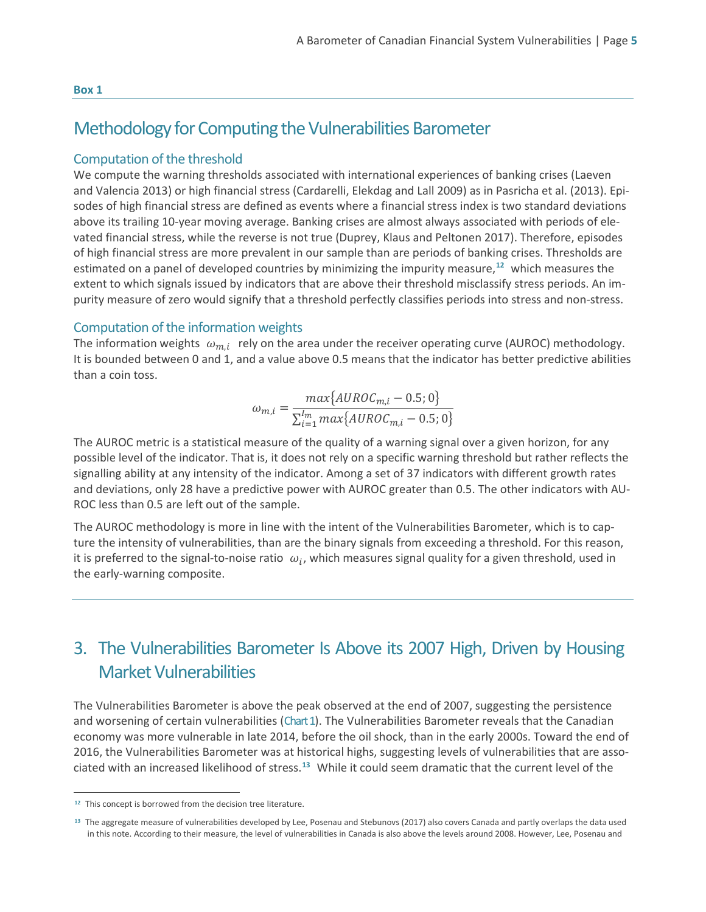#### **Box 1**

### Methodology for Computing the Vulnerabilities Barometer

### Computation of the threshold

We compute the warning thresholds associated with international experiences of banking crises (Laeven and Valencia 2013) or high financial stress (Cardarelli, Elekdag and Lall 2009) as in Pasricha et al. (2013). Episodes of high financial stress are defined as events where a financial stress index is two standard deviations above its trailing 10-year moving average. Banking crises are almost always associated with periods of elevated financial stress, while the reverse is not true (Duprey, Klaus and Peltonen 2017). Therefore, episodes of high financial stress are more prevalent in our sample than are periods of banking crises. Thresholds are estimated on a panel of developed countries by minimizing the impurity measure, **[12](#page-6-0)** which measures the extent to which signals issued by indicators that are above their threshold misclassify stress periods. An impurity measure of zero would signify that a threshold perfectly classifies periods into stress and non-stress.

### Computation of the information weights

The information weights  $\omega_{m,i}$  rely on the area under the receiver operating curve (AUROC) methodology. It is bounded between 0 and 1, and a value above 0.5 means that the indicator has better predictive abilities than a coin toss.

$$
\omega_{m,i} = \frac{max\{AUROC_{m,i} - 0.5; 0\}}{\sum_{i=1}^{I_m} max\{AUROC_{m,i} - 0.5; 0\}}
$$

The AUROC metric is a statistical measure of the quality of a warning signal over a given horizon, for any possible level of the indicator. That is, it does not rely on a specific warning threshold but rather reflects the signalling ability at any intensity of the indicator. Among a set of 37 indicators with different growth rates and deviations, only 28 have a predictive power with AUROC greater than 0.5. The other indicators with AU-ROC less than 0.5 are left out of the sample.

The AUROC methodology is more in line with the intent of the Vulnerabilities Barometer, which is to capture the intensity of vulnerabilities, than are the binary signals from exceeding a threshold. For this reason, it is preferred to the signal-to-noise ratio  $\omega_i$ , which measures signal quality for a given threshold, used in the early-warning composite.

# 3. The Vulnerabilities Barometer Is Above its 2007 High, Driven by Housing Market Vulnerabilities

The Vulnerabilities Barometer is above the peak observed at the end of 2007, suggesting the persistence and worsening of certain vulnerabilities (Chart 1). The Vulnerabilities Barometer reveals that the Canadian economy was more vulnerable in late 2014, before the oil shock, than in the early 2000s. Toward the end of 2016, the Vulnerabilities Barometer was at historical highs, suggesting levels of vulnerabilities that are associated with an increased likelihood of stress. **[13](#page-6-1)** While it could seem dramatic that the current level of the

<span id="page-6-0"></span>**<sup>12</sup>** This concept is borrowed from the decision tree literature.

<span id="page-6-1"></span>**<sup>13</sup>** The aggregate measure of vulnerabilities developed by Lee, Posenau and Stebunovs (2017) also covers Canada and partly overlaps the data used in this note. According to their measure, the level of vulnerabilities in Canada is also above the levels around 2008. However, Lee, Posenau and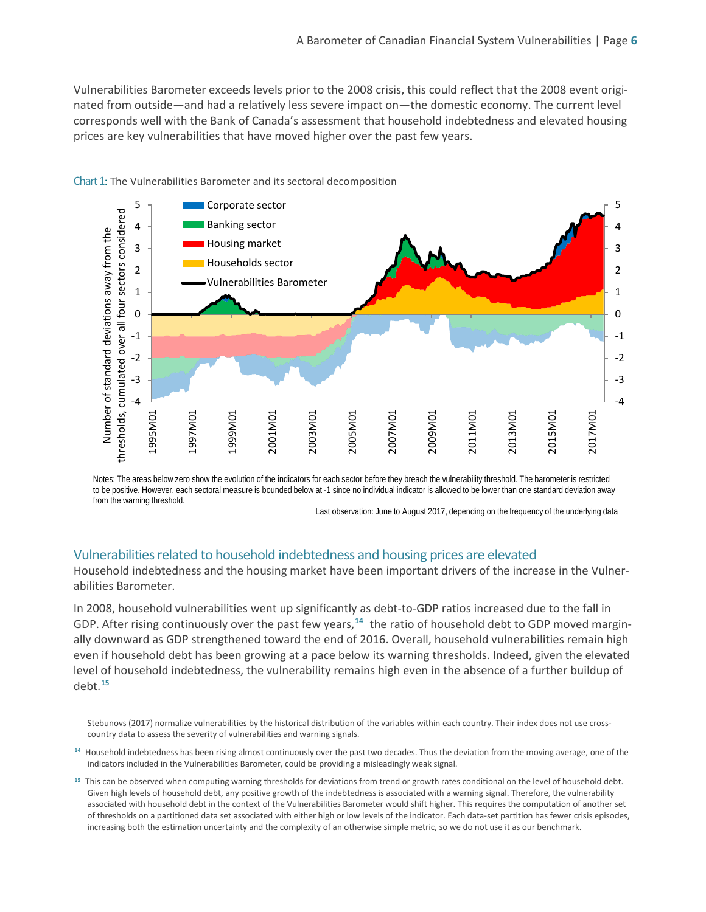Vulnerabilities Barometer exceeds levels prior to the 2008 crisis, this could reflect that the 2008 event originated from outside—and had a relatively less severe impact on—the domestic economy. The current level corresponds well with the Bank of Canada's assessment that household indebtedness and elevated housing prices are key vulnerabilities that have moved higher over the past few years.



Chart 1: The Vulnerabilities Barometer and its sectoral decomposition

Notes: The areas below zero show the evolution of the indicators for each sector before they breach the vulnerability threshold. The barometer is restricted to be positive. However, each sectoral measure is bounded below at -1 since no individual indicator is allowed to be lower than one standard deviation away from the warning threshold.

Last observation: June to August 2017, depending on the frequency of the underlying data

### Vulnerabilities related to household indebtedness and housing prices are elevated

Household indebtedness and the housing market have been important drivers of the increase in the Vulnerabilities Barometer.

In 2008, household vulnerabilities went up significantly as debt-to-GDP ratios increased due to the fall in GDP. After rising continuously over the past few years,**[14](#page-7-0)** the ratio of household debt to GDP moved marginally downward as GDP strengthened toward the end of 2016. Overall, household vulnerabilities remain high even if household debt has been growing at a pace below its warning thresholds. Indeed, given the elevated level of household indebtedness, the vulnerability remains high even in the absence of a further buildup of debt. **[15](#page-7-1)**

Stebunovs (2017) normalize vulnerabilities by the historical distribution of the variables within each country. Their index does not use crosscountry data to assess the severity of vulnerabilities and warning signals.

<span id="page-7-0"></span>**<sup>14</sup>** Household indebtedness has been rising almost continuously over the past two decades. Thus the deviation from the moving average, one of the indicators included in the Vulnerabilities Barometer, could be providing a misleadingly weak signal.

<span id="page-7-1"></span>**<sup>15</sup>** This can be observed when computing warning thresholds for deviations from trend or growth rates conditional on the level of household debt. Given high levels of household debt, any positive growth of the indebtedness is associated with a warning signal. Therefore, the vulnerability associated with household debt in the context of the Vulnerabilities Barometer would shift higher. This requires the computation of another set of thresholds on a partitioned data set associated with either high or low levels of the indicator. Each data-set partition has fewer crisis episodes, increasing both the estimation uncertainty and the complexity of an otherwise simple metric, so we do not use it as our benchmark.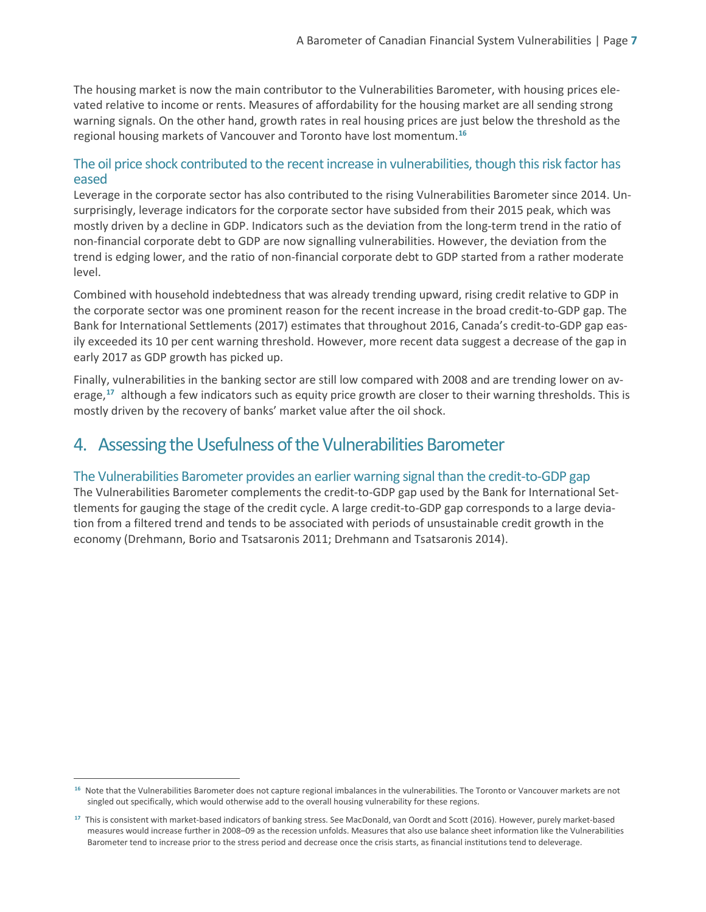The housing market is now the main contributor to the Vulnerabilities Barometer, with housing prices elevated relative to income or rents. Measures of affordability for the housing market are all sending strong warning signals. On the other hand, growth rates in real housing prices are just below the threshold as the regional housing markets of Vancouver and Toronto have lost momentum. **[16](#page-8-0)**

### The oil price shock contributed to the recent increase in vulnerabilities, though this risk factor has eased

Leverage in the corporate sector has also contributed to the rising Vulnerabilities Barometer since 2014. Unsurprisingly, leverage indicators for the corporate sector have subsided from their 2015 peak, which was mostly driven by a decline in GDP. Indicators such as the deviation from the long-term trend in the ratio of non-financial corporate debt to GDP are now signalling vulnerabilities. However, the deviation from the trend is edging lower, and the ratio of non-financial corporate debt to GDP started from a rather moderate level.

Combined with household indebtedness that was already trending upward, rising credit relative to GDP in the corporate sector was one prominent reason for the recent increase in the broad credit-to-GDP gap. The Bank for International Settlements (2017) estimates that throughout 2016, Canada's credit-to-GDP gap easily exceeded its 10 per cent warning threshold. However, more recent data suggest a decrease of the gap in early 2017 as GDP growth has picked up.

Finally, vulnerabilities in the banking sector are still low compared with 2008 and are trending lower on average,**[17](#page-8-1)** although a few indicators such as equity price growth are closer to their warning thresholds. This is mostly driven by the recovery of banks' market value after the oil shock.

# 4. Assessing the Usefulness of the Vulnerabilities Barometer

### The Vulnerabilities Barometer provides an earlier warning signal than the credit-to-GDP gap

The Vulnerabilities Barometer complements the credit-to-GDP gap used by the Bank for International Settlements for gauging the stage of the credit cycle. A large credit-to-GDP gap corresponds to a large deviation from a filtered trend and tends to be associated with periods of unsustainable credit growth in the economy (Drehmann, Borio and Tsatsaronis 2011; Drehmann and Tsatsaronis 2014).

<span id="page-8-0"></span>**<sup>16</sup>** Note that the Vulnerabilities Barometer does not capture regional imbalances in the vulnerabilities. The Toronto or Vancouver markets are not singled out specifically, which would otherwise add to the overall housing vulnerability for these regions.

<span id="page-8-1"></span>**<sup>17</sup>** This is consistent with market-based indicators of banking stress. See MacDonald, van Oordt and Scott (2016). However, purely market-based measures would increase further in 2008–09 as the recession unfolds. Measures that also use balance sheet information like the Vulnerabilities Barometer tend to increase prior to the stress period and decrease once the crisis starts, as financial institutions tend to deleverage.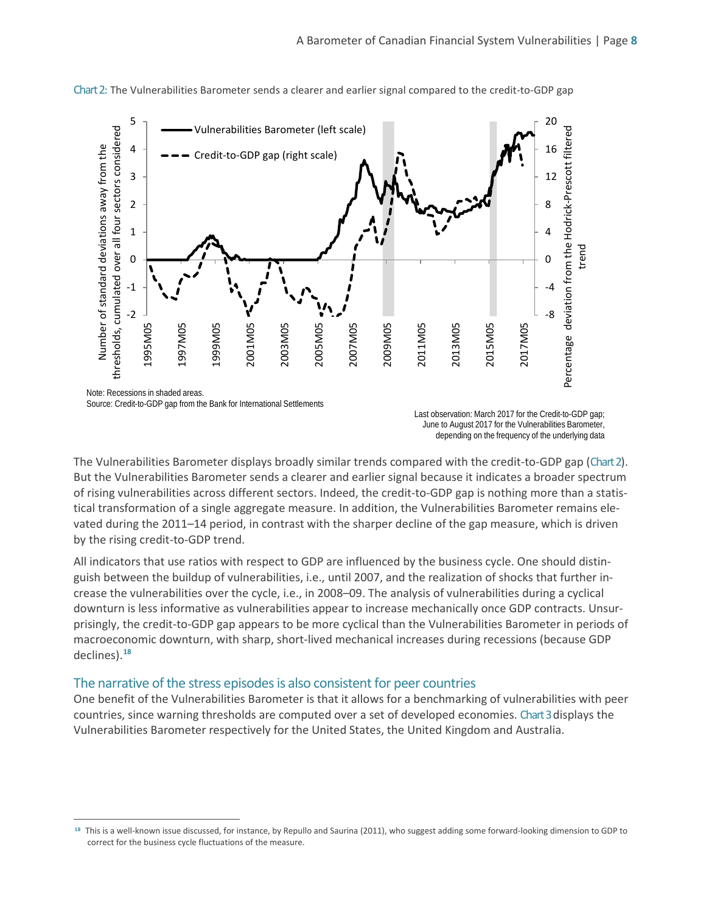

Chart 2: The Vulnerabilities Barometer sends a clearer and earlier signal compared to the credit-to-GDP gap

 $\overline{a}$ 

Last observation: March 2017 for the Credit-to-GDP gap; June to August 2017 for the Vulnerabilities Barometer, depending on the frequency of the underlying data

The Vulnerabilities Barometer displays broadly similar trends compared with the credit-to-GDP gap (Chart 2). But the Vulnerabilities Barometer sends a clearer and earlier signal because it indicates a broader spectrum of rising vulnerabilities across different sectors. Indeed, the credit-to-GDP gap is nothing more than a statistical transformation of a single aggregate measure. In addition, the Vulnerabilities Barometer remains elevated during the 2011–14 period, in contrast with the sharper decline of the gap measure, which is driven by the rising credit-to-GDP trend.

All indicators that use ratios with respect to GDP are influenced by the business cycle. One should distinguish between the buildup of vulnerabilities, i.e., until 2007, and the realization of shocks that further increase the vulnerabilities over the cycle, i.e., in 2008–09. The analysis of vulnerabilities during a cyclical downturn is less informative as vulnerabilities appear to increase mechanically once GDP contracts. Unsurprisingly, the credit-to-GDP gap appears to be more cyclical than the Vulnerabilities Barometer in periods of macroeconomic downturn, with sharp, short-lived mechanical increases during recessions (because GDP declines).**[18](#page-9-0)**

### The narrative of the stress episodes is also consistent for peer countries

One benefit of the Vulnerabilities Barometer is that it allows for a benchmarking of vulnerabilities with peer countries, since warning thresholds are computed over a set of developed economies. Chart3displays the Vulnerabilities Barometer respectively for the United States, the United Kingdom and Australia.

<span id="page-9-0"></span>**<sup>18</sup>** This is a well-known issue discussed, for instance, by Repullo and Saurina (2011), who suggest adding some forward-looking dimension to GDP to correct for the business cycle fluctuations of the measure.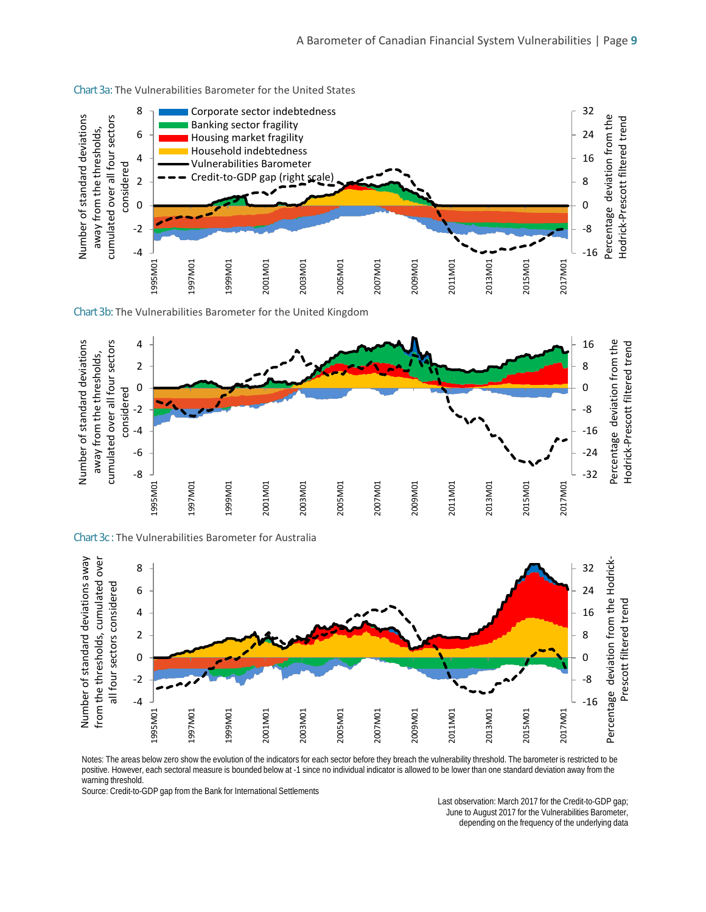

#### Chart 3a: The Vulnerabilities Barometer for the United States

Chart 3b: The Vulnerabilities Barometer for the United Kingdom



Chart 3c: The Vulnerabilities Barometer for Australia



Notes: The areas below zero show the evolution of the indicators for each sector before they breach the vulnerability threshold. The barometer is restricted to be positive. However, each sectoral measure is bounded below at -1 since no individual indicator is allowed to be lower than one standard deviation away from the .<br>warning threshold.

Source: Credit-to-GDP gap from the Bank for International Settlements

Last observation: March 2017 for the Credit-to-GDP gap; June to August 2017 for the Vulnerabilities Barometer, depending on the frequency of the underlying data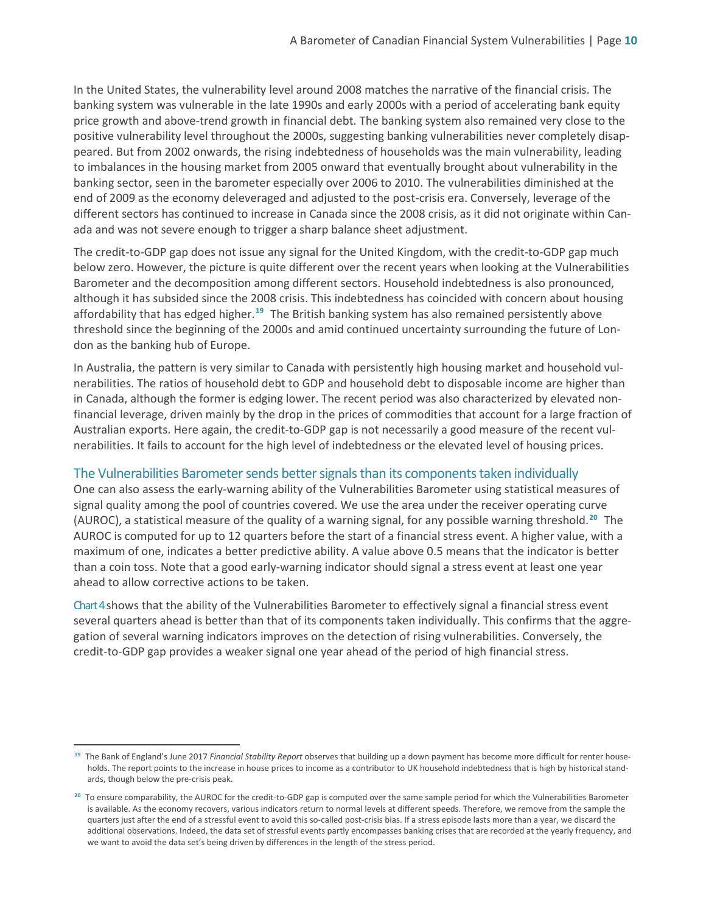In the United States, the vulnerability level around 2008 matches the narrative of the financial crisis. The banking system was vulnerable in the late 1990s and early 2000s with a period of accelerating bank equity price growth and above-trend growth in financial debt. The banking system also remained very close to the positive vulnerability level throughout the 2000s, suggesting banking vulnerabilities never completely disappeared. But from 2002 onwards, the rising indebtedness of households was the main vulnerability, leading to imbalances in the housing market from 2005 onward that eventually brought about vulnerability in the banking sector, seen in the barometer especially over 2006 to 2010. The vulnerabilities diminished at the end of 2009 as the economy deleveraged and adjusted to the post-crisis era. Conversely, leverage of the different sectors has continued to increase in Canada since the 2008 crisis, as it did not originate within Canada and was not severe enough to trigger a sharp balance sheet adjustment.

The credit-to-GDP gap does not issue any signal for the United Kingdom, with the credit-to-GDP gap much below zero. However, the picture is quite different over the recent years when looking at the Vulnerabilities Barometer and the decomposition among different sectors. Household indebtedness is also pronounced, although it has subsided since the 2008 crisis. This indebtedness has coincided with concern about housing affordability that has edged higher.**[19](#page-11-0)** The British banking system has also remained persistently above threshold since the beginning of the 2000s and amid continued uncertainty surrounding the future of London as the banking hub of Europe.

In Australia, the pattern is very similar to Canada with persistently high housing market and household vulnerabilities. The ratios of household debt to GDP and household debt to disposable income are higher than in Canada, although the former is edging lower. The recent period was also characterized by elevated nonfinancial leverage, driven mainly by the drop in the prices of commodities that account for a large fraction of Australian exports. Here again, the credit-to-GDP gap is not necessarily a good measure of the recent vulnerabilities. It fails to account for the high level of indebtedness or the elevated level of housing prices.

### The Vulnerabilities Barometer sends better signals than its components taken individually

One can also assess the early-warning ability of the Vulnerabilities Barometer using statistical measures of signal quality among the pool of countries covered. We use the area under the receiver operating curve (AUROC), a statistical measure of the quality of a warning signal, for any possible warning threshold.**[20](#page-11-1)** The AUROC is computed for up to 12 quarters before the start of a financial stress event. A higher value, with a maximum of one, indicates a better predictive ability. A value above 0.5 means that the indicator is better than a coin toss. Note that a good early-warning indicator should signal a stress event at least one year ahead to allow corrective actions to be taken.

Chart 4 shows that the ability of the Vulnerabilities Barometer to effectively signal a financial stress event several quarters ahead is better than that of its components taken individually. This confirms that the aggregation of several warning indicators improves on the detection of rising vulnerabilities. Conversely, the credit-to-GDP gap provides a weaker signal one year ahead of the period of high financial stress.

<span id="page-11-0"></span>**<sup>19</sup>** The Bank of England's June 2017 *Financial Stability Report* observes that building up a down payment has become more difficult for renter households. The report points to the increase in house prices to income as a contributor to UK household indebtedness that is high by historical standards, though below the pre-crisis peak.

<span id="page-11-1"></span>**<sup>20</sup>** To ensure comparability, the AUROC for the credit-to-GDP gap is computed over the same sample period for which the Vulnerabilities Barometer is available. As the economy recovers, various indicators return to normal levels at different speeds. Therefore, we remove from the sample the quarters just after the end of a stressful event to avoid this so-called post-crisis bias. If a stress episode lasts more than a year, we discard the additional observations. Indeed, the data set of stressful events partly encompasses banking crises that are recorded at the yearly frequency, and we want to avoid the data set's being driven by differences in the length of the stress period.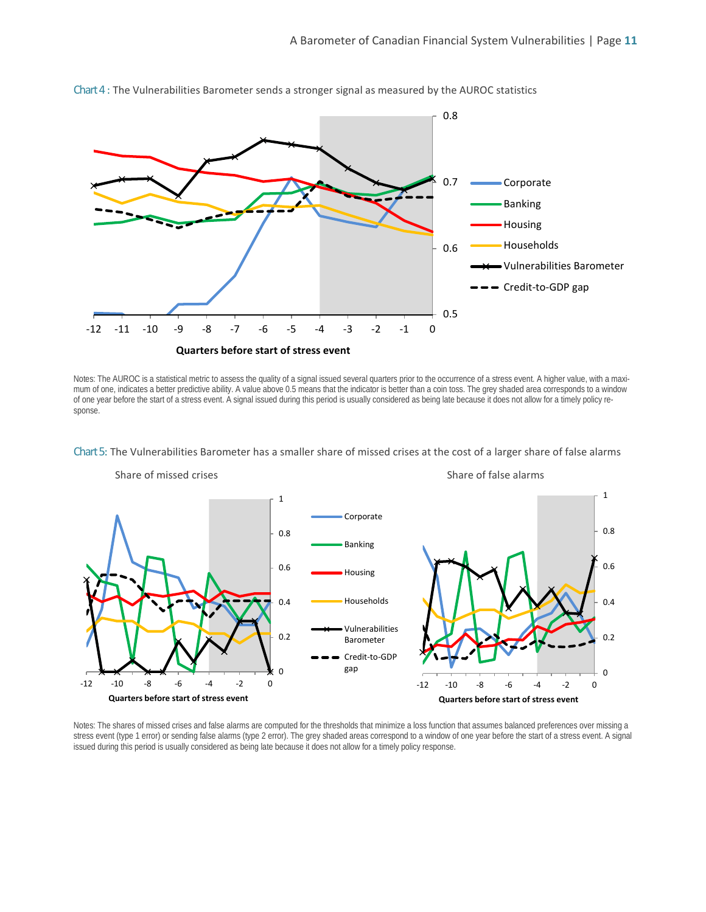

Chart 4 : The Vulnerabilities Barometer sends a stronger signal as measured by the AUROC statistics

Notes: The AUROC is a statistical metric to assess the quality of a signal issued several quarters prior to the occurrence of a stress event. A higher value, with a maximum of one, indicates a better predictive ability. A value above 0.5 means that the indicator is better than a coin toss. The grey shaded area corresponds to a window of one year before the start of a stress event. A signal issued during this period is usually considered as being late because it does not allow for a timely policy response.



Chart 5: The Vulnerabilities Barometer has a smaller share of missed crises at the cost of a larger share of false alarms

Notes: The shares of missed crises and false alarms are computed for the thresholds that minimize a loss function that assumes balanced preferences over missing a stress event (type 1 error) or sending false alarms (type 2 error). The grey shaded areas correspond to a window of one year before the start of a stress event. A signal issued during this period is usually considered as being late because it does not allow for a timely policy response.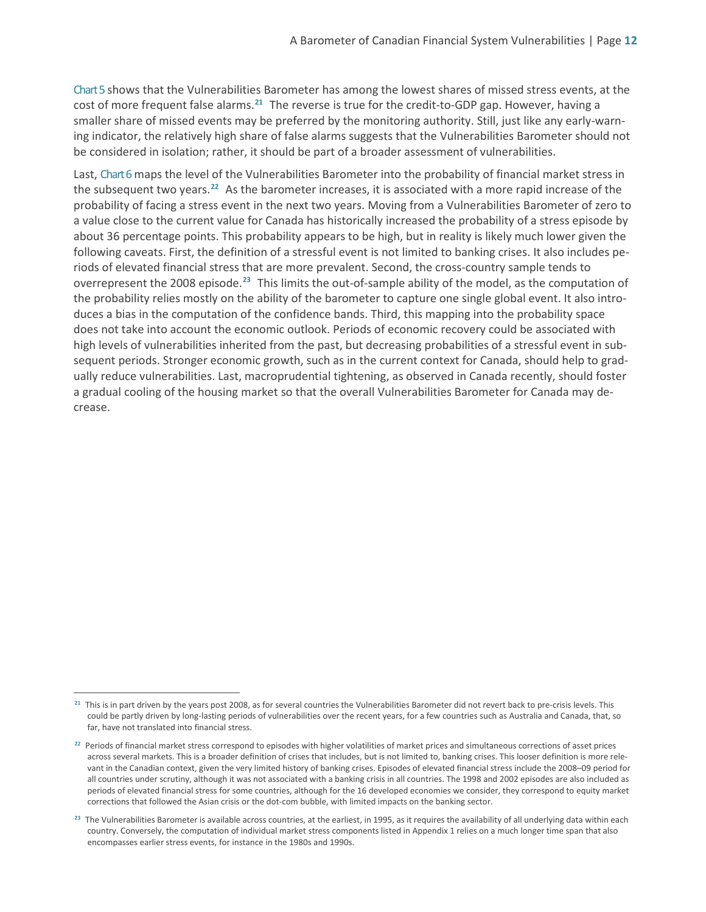Chart 5 shows that the Vulnerabilities Barometer has among the lowest shares of missed stress events, at the cost of more frequent false alarms.**[21](#page-13-0)** The reverse is true for the credit-to-GDP gap. However, having a smaller share of missed events may be preferred by the monitoring authority. Still, just like any early-warning indicator, the relatively high share of false alarms suggests that the Vulnerabilities Barometer should not be considered in isolation; rather, it should be part of a broader assessment of vulnerabilities.

Last, Chart 6 maps the level of the Vulnerabilities Barometer into the probability of financial market stress in the subsequent two years. **[22](#page-13-1)** As the barometer increases, it is associated with a more rapid increase of the probability of facing a stress event in the next two years. Moving from a Vulnerabilities Barometer of zero to a value close to the current value for Canada has historically increased the probability of a stress episode by about 36 percentage points. This probability appears to be high, but in reality is likely much lower given the following caveats. First, the definition of a stressful event is not limited to banking crises. It also includes periods of elevated financial stress that are more prevalent. Second, the cross-country sample tends to overrepresent the 2008 episode.<sup>[23](#page-13-2)</sup> This limits the out-of-sample ability of the model, as the computation of the probability relies mostly on the ability of the barometer to capture one single global event. It also introduces a bias in the computation of the confidence bands. Third, this mapping into the probability space does not take into account the economic outlook. Periods of economic recovery could be associated with high levels of vulnerabilities inherited from the past, but decreasing probabilities of a stressful event in subsequent periods. Stronger economic growth, such as in the current context for Canada, should help to gradually reduce vulnerabilities. Last, macroprudential tightening, as observed in Canada recently, should foster a gradual cooling of the housing market so that the overall Vulnerabilities Barometer for Canada may decrease.

<span id="page-13-0"></span>**<sup>21</sup>** This is in part driven by the years post 2008, as for several countries the Vulnerabilities Barometer did not revert back to pre-crisis levels. This could be partly driven by long-lasting periods of vulnerabilities over the recent years, for a few countries such as Australia and Canada, that, so far, have not translated into financial stress.

<span id="page-13-1"></span>**<sup>22</sup>** Periods of financial market stress correspond to episodes with higher volatilities of market prices and simultaneous corrections of asset prices across several markets. This is a broader definition of crises that includes, but is not limited to, banking crises. This looser definition is more relevant in the Canadian context, given the very limited history of banking crises. Episodes of elevated financial stress include the 2008–09 period for all countries under scrutiny, although it was not associated with a banking crisis in all countries. The 1998 and 2002 episodes are also included as periods of elevated financial stress for some countries, although for the 16 developed economies we consider, they correspond to equity market corrections that followed the Asian crisis or the dot-com bubble, with limited impacts on the banking sector.

<span id="page-13-2"></span>**<sup>23</sup>** The Vulnerabilities Barometer is available across countries, at the earliest, in 1995, as it requires the availability of all underlying data within each country. Conversely, the computation of individual market stress components listed in Appendix 1 relies on a much longer time span that also encompasses earlier stress events, for instance in the 1980s and 1990s.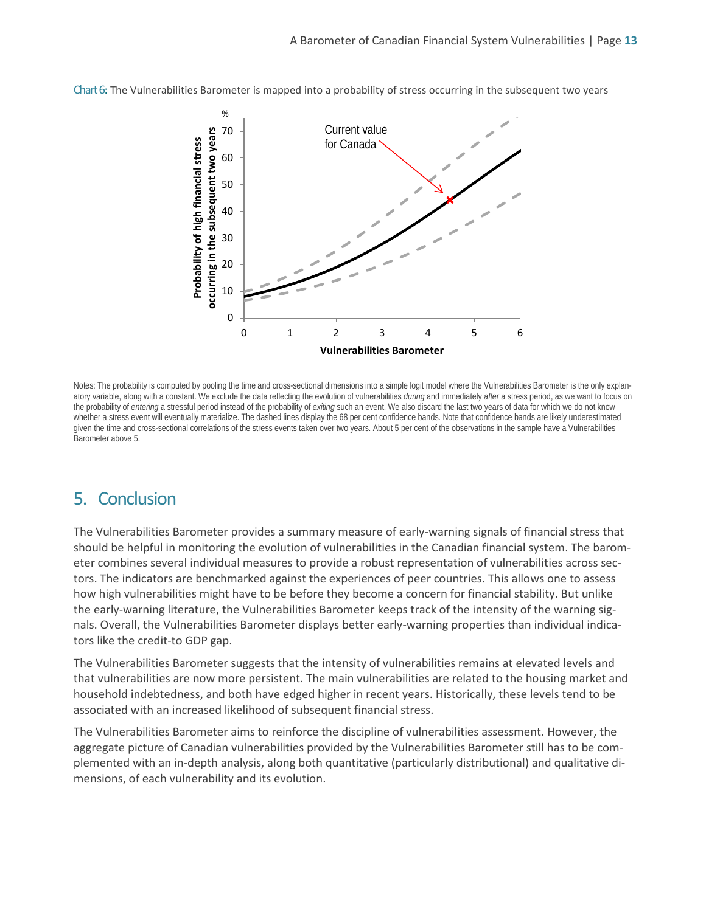Chart 6: The Vulnerabilities Barometer is mapped into a probability of stress occurring in the subsequent two years



Notes: The probability is computed by pooling the time and cross-sectional dimensions into a simple logit model where the Vulnerabilities Barometer is the only explanatory variable, along with a constant. We exclude the data reflecting the evolution of vulnerabilities *during* and immediately *after* a stress period, as we want to focus on the probability of *entering* a stressful period instead of the probability of *exiting* such an event. We also discard the last two years of data for which we do not know whether a stress event will eventually materialize. The dashed lines display the 68 per cent confidence bands. Note that confidence bands are likely underestimated given the time and cross-sectional correlations of the stress events taken over two years. About 5 per cent of the observations in the sample have a Vulnerabilities Barometer above 5.

### 5. Conclusion

The Vulnerabilities Barometer provides a summary measure of early-warning signals of financial stress that should be helpful in monitoring the evolution of vulnerabilities in the Canadian financial system. The barometer combines several individual measures to provide a robust representation of vulnerabilities across sectors. The indicators are benchmarked against the experiences of peer countries. This allows one to assess how high vulnerabilities might have to be before they become a concern for financial stability. But unlike the early-warning literature, the Vulnerabilities Barometer keeps track of the intensity of the warning signals. Overall, the Vulnerabilities Barometer displays better early-warning properties than individual indicators like the credit-to GDP gap.

The Vulnerabilities Barometer suggests that the intensity of vulnerabilities remains at elevated levels and that vulnerabilities are now more persistent. The main vulnerabilities are related to the housing market and household indebtedness, and both have edged higher in recent years. Historically, these levels tend to be associated with an increased likelihood of subsequent financial stress.

The Vulnerabilities Barometer aims to reinforce the discipline of vulnerabilities assessment. However, the aggregate picture of Canadian vulnerabilities provided by the Vulnerabilities Barometer still has to be complemented with an in-depth analysis, along both quantitative (particularly distributional) and qualitative dimensions, of each vulnerability and its evolution.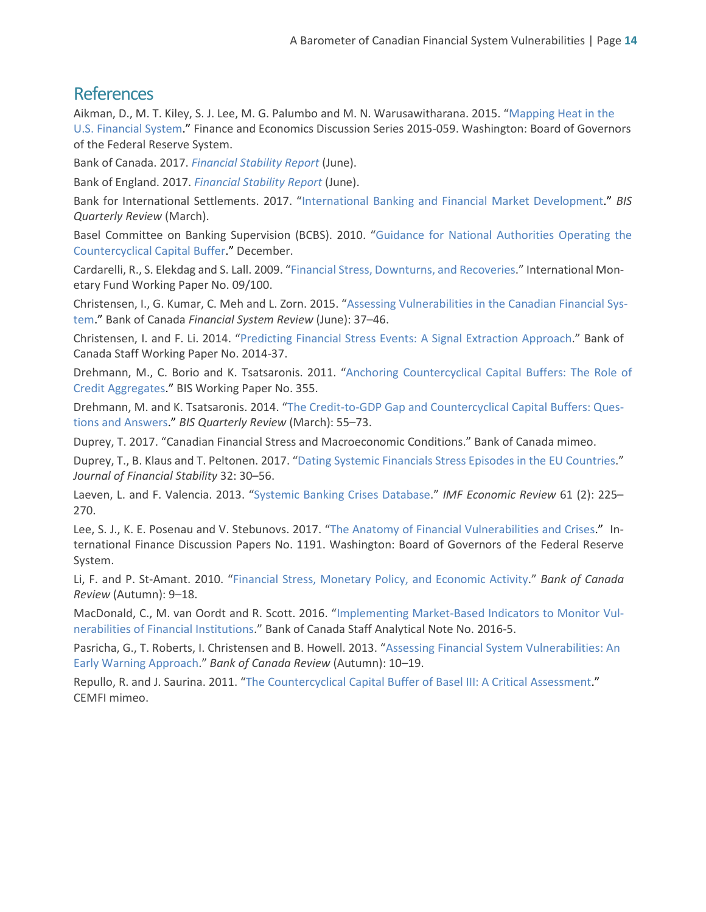### **References**

Aikman, D., M. T. Kiley, S. J. Lee, M. G. Palumbo and M. N. Warusawitharana. 2015. ["Mapping Heat in the](https://www.federalreserve.gov/econresdata/feds/2015/files/2015059pap.pdf)  [U.S. Financial System.](https://www.federalreserve.gov/econresdata/feds/2015/files/2015059pap.pdf)" Finance and Economics Discussion Series 2015-059. Washington: Board of Governors of the Federal Reserve System.

Bank of Canada. 2017. *[Financial Stability Report](http://www.bankofcanada.ca/wp-content/uploads/2017/06/fsr-june2017.pdf)* (June).

Bank of England. 2017. *[Financial Stability Report](http://www.bankofengland.co.uk/publications/Pages/fsr/2017/jun.aspx)* (June).

Bank for International Settlements. 2017. ["International Banking and Financial Market Development.](https://www.bis.org/publ/qtrpdf/r_qt1703.pdf)" *BIS Quarterly Review* (March).

Basel Committee on Banking Supervision (BCBS). 2010. ["Guidance for National Authorities Operating the](http://www.bis.org/publ/bcbs187.htm)  [Countercyclical Capital Buffer.](http://www.bis.org/publ/bcbs187.htm)" December.

Cardarelli, R., S. Elekdag and S. Lall. 2009. ["Financial Stress, Downturns, and Recoveries.](http://www.imf.org/external/pubs/cat/longres.aspx?sk=22923)" International Monetary Fund Working Paper No. 09/100.

Christensen, I., G. Kumar, C. Meh and L. Zorn. 2015. ["Assessing Vulnerabilities in the Canadian Financial Sys](http://www.bankofcanada.ca/wp-content/uploads/2015/06/fsr-june15-christensen.pdf)[tem.](http://www.bankofcanada.ca/wp-content/uploads/2015/06/fsr-june15-christensen.pdf)" Bank of Canada *Financial System Review* (June): 37–46.

Christensen, I. and F. Li. 2014. ["Predicting Financial Stress Events: A Signal Extraction Approach.](http://www.bankofcanada.ca/wp-content/uploads/2014/09/wp2014-37.pdf)" Bank of Canada Staff Working Paper No. 2014-37.

Drehmann, M., C. Borio and K. Tsatsaronis. 2011. ["Anchoring Countercyclical Capital Buffers: The Role of](http://www.bis.org/publ/work355.pdf)  [Credit Aggregates.](http://www.bis.org/publ/work355.pdf)" BIS Working Paper No. 355.

Drehmann, M. and K. Tsatsaronis. 2014. ["The Credit-to-GDP Gap and Countercyclical Capital Buffers: Ques](http://www.bis.org/publ/qtrpdf/r_qt1403g.htm)[tions and Answers.](http://www.bis.org/publ/qtrpdf/r_qt1403g.htm)" *BIS Quarterly Review* (March): 55–73.

Duprey, T. 2017. "Canadian Financial Stress and Macroeconomic Conditions." Bank of Canada mimeo.

Duprey, T., B. Klaus and T. Peltonen. 2017. ["Dating Systemic Financials Stress Episodes in the EU Countries.](https://doi.org/10.1016/j.jfs.2017.07.004)" *Journal of Financial Stability* 32: 30–56.

Laeven, L. and F. Valencia. 2013. ["Systemic Banking Crises Database.](https://link.springer.com/article/10.1057%2Fimfer.2013.12)" *IMF Economic Review* 61 (2): 225– 270.

Lee, S. J., K. E. Posenau and V. Stebunovs. 2017. ["The Anatomy of Financial Vulnerabilities and Crises."](https://doi.org/10.17016/IFDP.2017.1191) International Finance Discussion Papers No. 1191. Washington: Board of Governors of the Federal Reserve System.

Li, F. and P. St-Amant. 2010. ["Financial Stress, Monetary Policy, and Economic Activity.](http://www.bankofcanada.ca/wp-content/uploads/2010/11/li.pdf)" *Bank of Canada Review* (Autumn): 9–18.

MacDonald, C., M. van Oordt and R. Scott. 2016. ["Implementing Market-Based Indicators to Monitor Vul](http://www.bankofcanada.ca/wp-content/uploads/2016/06/san2016-5.pdf)[nerabilities of Financial Institutions.](http://www.bankofcanada.ca/wp-content/uploads/2016/06/san2016-5.pdf)" Bank of Canada Staff Analytical Note No. 2016-5.

Pasricha, G., T. Roberts, I. Christensen and B. Howell. 2013. ["Assessing Financial System Vulnerabilities: An](http://www.bankofcanada.ca/wp-content/uploads/2013/11/boc-review-autumn13-pasricha.pdf)  [Early Warning Approach.](http://www.bankofcanada.ca/wp-content/uploads/2013/11/boc-review-autumn13-pasricha.pdf)" *Bank of Canada Review* (Autumn): 10–19.

Repullo, R. and J. Saurina. 2011. ["The Countercyclical Capital Buffer of Basel III: A Critical Assessment.](ftp://ftp.cemfi.es/pdf/papers/repullo/Repullo-Saurina%20Final%20R.pdf)" CEMFI mimeo.